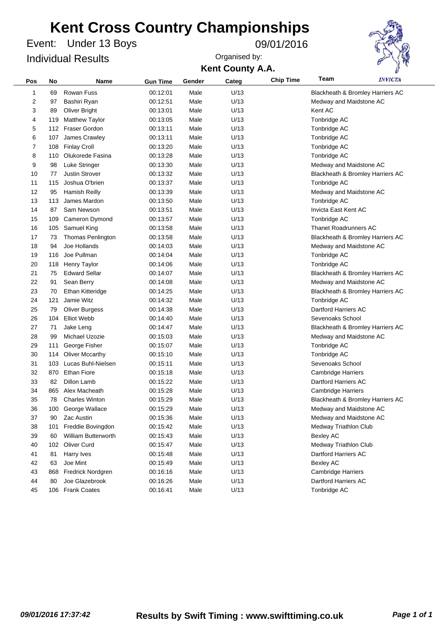Under 13 Boys Event: 09/01/2016 Individual Results



| Pos                     | No  | Name                   | <b>Gun Time</b> | Gender | Categ | <b>Chip Time</b> | Team                         | <i><b>INVICTA</b></i>            |
|-------------------------|-----|------------------------|-----------------|--------|-------|------------------|------------------------------|----------------------------------|
| 1                       | 69  | Rowan Fuss             | 00:12:01        | Male   | U/13  |                  |                              | Blackheath & Bromley Harriers AC |
| $\overline{\mathbf{c}}$ | 97  | Bashiri Ryan           | 00:12:51        | Male   | U/13  |                  | Medway and Maidstone AC      |                                  |
| 3                       | 89  | <b>Oliver Bright</b>   | 00:13:01        | Male   | U/13  |                  | Kent AC                      |                                  |
| 4                       | 119 | <b>Matthew Taylor</b>  | 00:13:05        | Male   | U/13  |                  | Tonbridge AC                 |                                  |
| 5                       |     | 112 Fraser Gordon      | 00:13:11        | Male   | U/13  |                  | Tonbridge AC                 |                                  |
| 6                       | 107 | James Crawley          | 00:13:11        | Male   | U/13  |                  | Tonbridge AC                 |                                  |
| 7                       | 108 | <b>Finlay Croll</b>    | 00:13:20        | Male   | U/13  |                  | Tonbridge AC                 |                                  |
| 8                       | 110 | Olukorede Fasina       | 00:13:28        | Male   | U/13  |                  | Tonbridge AC                 |                                  |
| 9                       | 98  | Luke Stringer          | 00:13:30        | Male   | U/13  |                  | Medway and Maidstone AC      |                                  |
| 10                      | 77  | <b>Justin Strover</b>  | 00:13:32        | Male   | U/13  |                  |                              | Blackheath & Bromley Harriers AC |
| 11                      | 115 | Joshua O'brien         | 00:13:37        | Male   | U/13  |                  | Tonbridge AC                 |                                  |
| 12                      | 95  | <b>Hamish Reilly</b>   | 00:13:39        | Male   | U/13  |                  | Medway and Maidstone AC      |                                  |
| 13                      | 113 | James Mardon           | 00:13:50        | Male   | U/13  |                  | Tonbridge AC                 |                                  |
| 14                      | 87  | Sam Newson             | 00:13:51        | Male   | U/13  |                  | Invicta East Kent AC         |                                  |
| 15                      | 109 | Cameron Dymond         | 00:13:57        | Male   | U/13  |                  | Tonbridge AC                 |                                  |
| 16                      |     | 105 Samuel King        | 00:13:58        | Male   | U/13  |                  | <b>Thanet Roadrunners AC</b> |                                  |
| 17                      | 73  | Thomas Penlington      | 00:13:58        | Male   | U/13  |                  |                              | Blackheath & Bromley Harriers AC |
| 18                      | 94  | Joe Hollands           | 00:14:03        | Male   | U/13  |                  | Medway and Maidstone AC      |                                  |
| 19                      | 116 | Joe Pullman            | 00:14:04        | Male   | U/13  |                  | Tonbridge AC                 |                                  |
| 20                      | 118 | <b>Henry Taylor</b>    | 00:14:06        | Male   | U/13  |                  | Tonbridge AC                 |                                  |
| 21                      | 75  | <b>Edward Sellar</b>   | 00:14:07        | Male   | U/13  |                  |                              | Blackheath & Bromley Harriers AC |
| 22                      | 91  | Sean Berry             | 00:14:08        | Male   | U/13  |                  | Medway and Maidstone AC      |                                  |
| 23                      | 70  | Ethan Kitteridge       | 00:14:25        | Male   | U/13  |                  |                              | Blackheath & Bromley Harriers AC |
| 24                      | 121 | Jamie Witz             | 00:14:32        | Male   | U/13  |                  | Tonbridge AC                 |                                  |
| 25                      | 79  | <b>Oliver Burgess</b>  | 00:14:38        | Male   | U/13  |                  | Dartford Harriers AC         |                                  |
| 26                      | 104 | <b>Elliot Webb</b>     | 00:14:40        | Male   | U/13  |                  | Sevenoaks School             |                                  |
| 27                      | 71  | Jake Leng              | 00:14:47        | Male   | U/13  |                  |                              | Blackheath & Bromley Harriers AC |
| 28                      | 99  | Michael Uzozie         | 00:15:03        | Male   | U/13  |                  | Medway and Maidstone AC      |                                  |
| 29                      | 111 | George Fisher          | 00:15:07        | Male   | U/13  |                  | Tonbridge AC                 |                                  |
| 30                      | 114 | <b>Oliver Mccarthy</b> | 00:15:10        | Male   | U/13  |                  | Tonbridge AC                 |                                  |
| 31                      | 103 | Lucas Buhl-Nielsen     | 00:15:11        | Male   | U/13  |                  | Sevenoaks School             |                                  |
| 32                      | 870 | <b>Ethan Fiore</b>     | 00:15:18        | Male   | U/13  |                  | <b>Cambridge Harriers</b>    |                                  |
| 33                      | 82  | Dillon Lamb            | 00:15:22        | Male   | U/13  |                  | Dartford Harriers AC         |                                  |
| 34                      | 865 | Alex Macheath          | 00:15:28        | Male   | U/13  |                  | <b>Cambridge Harriers</b>    |                                  |
| 35                      | 78  | <b>Charles Winton</b>  | 00:15:29        | Male   | U/13  |                  |                              | Blackheath & Bromley Harriers AC |
| 36                      | 100 | George Wallace         | 00:15:29        | Male   | U/13  |                  | Medway and Maidstone AC      |                                  |
| 37                      | 90  | Zac Austin             | 00:15:36        | Male   | U/13  |                  | Medway and Maidstone AC      |                                  |
| 38                      | 101 | Freddie Bovingdon      | 00:15:42        | Male   | U/13  |                  | Medway Triathlon Club        |                                  |
| 39                      | 60  | William Butterworth    | 00:15:43        | Male   | U/13  |                  | <b>Bexley AC</b>             |                                  |
| 40                      |     | 102 Oliver Curd        | 00:15:47        | Male   | U/13  |                  | Medway Triathlon Club        |                                  |
| 41                      | 81  | Harry Ives             | 00:15:48        | Male   | U/13  |                  | Dartford Harriers AC         |                                  |
| 42                      | 63  | Joe Mint               | 00:15:49        | Male   | U/13  |                  | <b>Bexley AC</b>             |                                  |
| 43                      | 868 | Fredrick Nordgren      | 00:16:16        | Male   | U/13  |                  | <b>Cambridge Harriers</b>    |                                  |
| 44                      | 80  | Joe Glazebrook         | 00:16:26        | Male   | U/13  |                  | Dartford Harriers AC         |                                  |
| 45                      |     | 106 Frank Coates       | 00:16:41        | Male   | U/13  |                  | Tonbridge AC                 |                                  |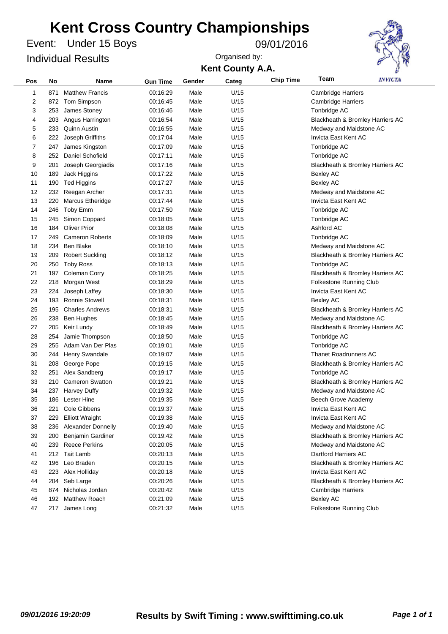Under 15 Boys Event: 09/01/2016 Individual Results



| Pos | No  | Name                   | <b>Gun Time</b> | Gender | Categ | <b>Chip Time</b> | Team                             | <b>INVICTA</b>                   |  |
|-----|-----|------------------------|-----------------|--------|-------|------------------|----------------------------------|----------------------------------|--|
| 1   | 871 | <b>Matthew Francis</b> | 00:16:29        | Male   | U/15  |                  | <b>Cambridge Harriers</b>        |                                  |  |
| 2   |     | 872 Tom Simpson        | 00:16:45        | Male   | U/15  |                  | <b>Cambridge Harriers</b>        |                                  |  |
| 3   | 253 | James Stoney           | 00:16:46        | Male   | U/15  |                  | Tonbridge AC                     |                                  |  |
| 4   | 203 | Angus Harrington       | 00:16:54        | Male   | U/15  |                  |                                  | Blackheath & Bromley Harriers AC |  |
| 5   | 233 | Quinn Austin           | 00:16:55        | Male   | U/15  |                  | Medway and Maidstone AC          |                                  |  |
| 6   | 222 | Joseph Griffiths       | 00:17:04        | Male   | U/15  |                  | Invicta East Kent AC             |                                  |  |
| 7   | 247 | James Kingston         | 00:17:09        | Male   | U/15  |                  | Tonbridge AC                     |                                  |  |
| 8   | 252 | Daniel Schofield       | 00:17:11        | Male   | U/15  |                  | Tonbridge AC                     |                                  |  |
| 9   | 201 | Joseph Georgiadis      | 00:17:16        | Male   | U/15  |                  |                                  | Blackheath & Bromley Harriers AC |  |
| 10  | 189 | Jack Higgins           | 00:17:22        | Male   | U/15  |                  | <b>Bexley AC</b>                 |                                  |  |
| 11  | 190 | <b>Ted Higgins</b>     | 00:17:27        | Male   | U/15  |                  | <b>Bexley AC</b>                 |                                  |  |
| 12  | 232 | Reegan Archer          | 00:17:31        | Male   | U/15  |                  | Medway and Maidstone AC          |                                  |  |
| 13  | 220 | Marcus Etheridge       | 00:17:44        | Male   | U/15  |                  | Invicta East Kent AC             |                                  |  |
| 14  | 246 | Toby Emm               | 00:17:50        | Male   | U/15  |                  | Tonbridge AC                     |                                  |  |
| 15  | 245 | Simon Coppard          | 00:18:05        | Male   | U/15  |                  | Tonbridge AC                     |                                  |  |
| 16  | 184 | <b>Oliver Prior</b>    | 00:18:08        | Male   | U/15  |                  | Ashford AC                       |                                  |  |
| 17  | 249 | <b>Cameron Roberts</b> | 00:18:09        | Male   | U/15  |                  | Tonbridge AC                     |                                  |  |
| 18  | 234 | <b>Ben Blake</b>       | 00:18:10        | Male   | U/15  |                  | Medway and Maidstone AC          |                                  |  |
| 19  | 209 | <b>Robert Suckling</b> | 00:18:12        | Male   | U/15  |                  |                                  | Blackheath & Bromley Harriers AC |  |
| 20  | 250 | <b>Toby Ross</b>       | 00:18:13        | Male   | U/15  |                  | Tonbridge AC                     |                                  |  |
| 21  | 197 | Coleman Corry          | 00:18:25        | Male   | U/15  |                  | Blackheath & Bromley Harriers AC |                                  |  |
| 22  | 218 | Morgan West            | 00:18:29        | Male   | U/15  |                  | Folkestone Running Club          |                                  |  |
| 23  | 224 | Joseph Laffey          | 00:18:30        | Male   | U/15  |                  | Invicta East Kent AC             |                                  |  |
| 24  | 193 | <b>Ronnie Stowell</b>  | 00:18:31        | Male   | U/15  |                  | <b>Bexley AC</b>                 |                                  |  |
| 25  | 195 | <b>Charles Andrews</b> | 00:18:31        | Male   | U/15  |                  |                                  | Blackheath & Bromley Harriers AC |  |
| 26  | 238 | Ben Hughes             | 00:18:45        | Male   | U/15  |                  | Medway and Maidstone AC          |                                  |  |
| 27  | 205 | Keir Lundy             | 00:18:49        | Male   | U/15  |                  |                                  | Blackheath & Bromley Harriers AC |  |
| 28  | 254 | Jamie Thompson         | 00:18:50        | Male   | U/15  |                  | Tonbridge AC                     |                                  |  |
| 29  | 255 | Adam Van Der Plas      | 00:19:01        | Male   | U/15  |                  | Tonbridge AC                     |                                  |  |
| 30  | 244 | Henry Swandale         | 00:19:07        | Male   | U/15  |                  | <b>Thanet Roadrunners AC</b>     |                                  |  |
| 31  | 208 | George Pope            | 00:19:15        | Male   | U/15  |                  |                                  | Blackheath & Bromley Harriers AC |  |
| 32  | 251 | Alex Sandberg          | 00:19:17        | Male   | U/15  |                  | Tonbridge AC                     |                                  |  |
| 33  | 210 | <b>Cameron Swatton</b> | 00:19:21        | Male   | U/15  |                  |                                  | Blackheath & Bromley Harriers AC |  |
| 34  | 237 | <b>Harvey Duffy</b>    | 00:19:32        | Male   | U/15  |                  | Medway and Maidstone AC          |                                  |  |
| 35  | 186 | <b>Lester Hine</b>     | 00:19:35        | Male   | U/15  |                  | Beech Grove Academy              |                                  |  |
| 36  | 221 | <b>Cole Gibbens</b>    | 00:19:37        | Male   | U/15  |                  | Invicta East Kent AC             |                                  |  |
| 37  | 229 | <b>Elliott Wraight</b> | 00:19:38        | Male   | U/15  |                  | Invicta East Kent AC             |                                  |  |
| 38  | 236 | Alexander Donnelly     | 00:19:40        | Male   | U/15  |                  | Medway and Maidstone AC          |                                  |  |
| 39  | 200 | Benjamin Gardiner      | 00:19:42        | Male   | U/15  |                  |                                  | Blackheath & Bromley Harriers AC |  |
| 40  | 239 | <b>Reece Perkins</b>   | 00:20:05        | Male   | U/15  |                  | Medway and Maidstone AC          |                                  |  |
| 41  |     | 212 Tait Lamb          | 00:20:13        | Male   | U/15  |                  | Dartford Harriers AC             |                                  |  |
| 42  | 196 | Leo Braden             | 00:20:15        | Male   | U/15  |                  |                                  | Blackheath & Bromley Harriers AC |  |
| 43  | 223 | Alex Holliday          | 00:20:18        | Male   | U/15  |                  | Invicta East Kent AC             |                                  |  |
| 44  | 204 | Seb Large              | 00:20:26        | Male   | U/15  |                  |                                  | Blackheath & Bromley Harriers AC |  |
| 45  | 874 | Nicholas Jordan        | 00:20:42        | Male   | U/15  |                  | <b>Cambridge Harriers</b>        |                                  |  |
| 46  | 192 | <b>Matthew Roach</b>   | 00:21:09        | Male   | U/15  |                  | <b>Bexley AC</b>                 |                                  |  |
| 47  |     | 217 James Long         | 00:21:32        | Male   | U/15  |                  | Folkestone Running Club          |                                  |  |
|     |     |                        |                 |        |       |                  |                                  |                                  |  |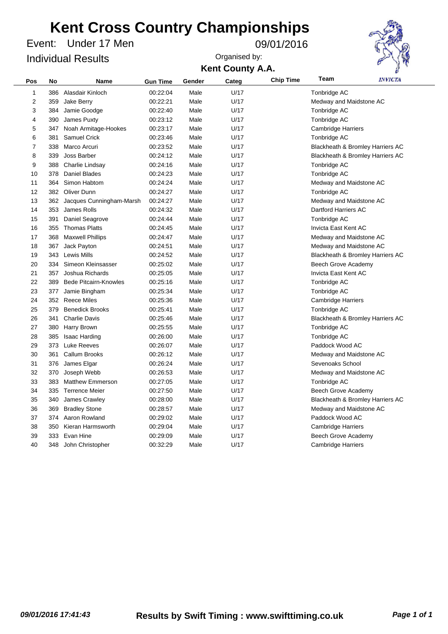Under 17 Men Event: 09/01/2016 Individual Results



| Pos | No  | <b>Name</b>                  | <b>Gun Time</b> | Gender | Categ | <b>Chip Time</b> | Team                      | <i><b>INVICTA</b></i>            |  |
|-----|-----|------------------------------|-----------------|--------|-------|------------------|---------------------------|----------------------------------|--|
| 1   | 386 | Alasdair Kinloch             | 00:22:04        | Male   | U/17  |                  | Tonbridge AC              |                                  |  |
| 2   | 359 | Jake Berry                   | 00:22:21        | Male   | U/17  |                  | Medway and Maidstone AC   |                                  |  |
| 3   | 384 | Jamie Goodge                 | 00:22:40        | Male   | U/17  |                  | Tonbridge AC              |                                  |  |
| 4   | 390 | James Puxty                  | 00:23:12        | Male   | U/17  |                  | Tonbridge AC              |                                  |  |
| 5   | 347 | Noah Armitage-Hookes         | 00:23:17        | Male   | U/17  |                  | <b>Cambridge Harriers</b> |                                  |  |
| 6   | 381 | Samuel Crick                 | 00:23:46        | Male   | U/17  |                  | Tonbridge AC              |                                  |  |
| 7   | 338 | Marco Arcuri                 | 00:23:52        | Male   | U/17  |                  |                           | Blackheath & Bromley Harriers AC |  |
| 8   | 339 | Joss Barber                  | 00:24:12        | Male   | U/17  |                  |                           | Blackheath & Bromley Harriers AC |  |
| 9   | 388 | Charlie Lindsay              | 00:24:16        | Male   | U/17  |                  | Tonbridge AC              |                                  |  |
| 10  | 378 | <b>Daniel Blades</b>         | 00:24:23        | Male   | U/17  |                  | Tonbridge AC              |                                  |  |
| 11  | 364 | Simon Habtom                 | 00:24:24        | Male   | U/17  |                  | Medway and Maidstone AC   |                                  |  |
| 12  | 382 | <b>Oliver Dunn</b>           | 00:24:27        | Male   | U/17  |                  | Tonbridge AC              |                                  |  |
| 13  |     | 362 Jacques Cunningham-Marsh | 00:24:27        | Male   | U/17  |                  | Medway and Maidstone AC   |                                  |  |
| 14  | 353 | James Rolls                  | 00:24:32        | Male   | U/17  |                  | Dartford Harriers AC      |                                  |  |
| 15  | 391 | Daniel Seagrove              | 00:24:44        | Male   | U/17  |                  | Tonbridge AC              |                                  |  |
| 16  | 355 | <b>Thomas Platts</b>         | 00:24:45        | Male   | U/17  |                  | Invicta East Kent AC      |                                  |  |
| 17  | 368 | <b>Maxwell Phillips</b>      | 00:24:47        | Male   | U/17  |                  | Medway and Maidstone AC   |                                  |  |
| 18  | 367 | Jack Payton                  | 00:24:51        | Male   | U/17  |                  | Medway and Maidstone AC   |                                  |  |
| 19  |     | 343 Lewis Mills              | 00:24:52        | Male   | U/17  |                  |                           | Blackheath & Bromley Harriers AC |  |
| 20  | 334 | Simeon Kleinsasser           | 00:25:02        | Male   | U/17  |                  | Beech Grove Academy       |                                  |  |
| 21  | 357 | Joshua Richards              | 00:25:05        | Male   | U/17  |                  | Invicta East Kent AC      |                                  |  |
| 22  | 389 | <b>Bede Pitcairn-Knowles</b> | 00:25:16        | Male   | U/17  |                  | Tonbridge AC              |                                  |  |
| 23  | 377 | Jamie Bingham                | 00:25:34        | Male   | U/17  |                  | Tonbridge AC              |                                  |  |
| 24  | 352 | <b>Reece Miles</b>           | 00:25:36        | Male   | U/17  |                  | <b>Cambridge Harriers</b> |                                  |  |
| 25  | 379 | <b>Benedick Brooks</b>       | 00:25:41        | Male   | U/17  |                  | Tonbridge AC              |                                  |  |
| 26  | 341 | <b>Charlie Davis</b>         | 00:25:46        | Male   | U/17  |                  |                           | Blackheath & Bromley Harriers AC |  |
| 27  | 380 | Harry Brown                  | 00:25:55        | Male   | U/17  |                  | Tonbridge AC              |                                  |  |
| 28  | 385 | Isaac Harding                | 00:26:00        | Male   | U/17  |                  | Tonbridge AC              |                                  |  |
| 29  | 373 | <b>Luke Reeves</b>           | 00:26:07        | Male   | U/17  |                  | Paddock Wood AC           |                                  |  |
| 30  | 361 | Callum Brooks                | 00:26:12        | Male   | U/17  |                  | Medway and Maidstone AC   |                                  |  |
| 31  | 376 | James Elgar                  | 00:26:24        | Male   | U/17  |                  | Sevenoaks School          |                                  |  |
| 32  | 370 | Joseph Webb                  | 00:26:53        | Male   | U/17  |                  | Medway and Maidstone AC   |                                  |  |
| 33  | 383 | <b>Matthew Emmerson</b>      | 00:27:05        | Male   | U/17  |                  | Tonbridge AC              |                                  |  |
| 34  | 335 | <b>Terrence Meier</b>        | 00:27:50        | Male   | U/17  |                  | Beech Grove Academy       |                                  |  |
| 35  | 340 | James Crawley                | 00:28:00        | Male   | U/17  |                  |                           | Blackheath & Bromley Harriers AC |  |
| 36  | 369 | <b>Bradley Stone</b>         | 00:28:57        | Male   | U/17  |                  | Medway and Maidstone AC   |                                  |  |
| 37  | 374 | Aaron Rowland                | 00:29:02        | Male   | U/17  |                  | Paddock Wood AC           |                                  |  |
| 38  | 350 | Kieran Harmsworth            | 00:29:04        | Male   | U/17  |                  | Cambridge Harriers        |                                  |  |
| 39  | 333 | Evan Hine                    | 00:29:09        | Male   | U/17  |                  | Beech Grove Academy       |                                  |  |
| 40  |     | 348 John Christopher         | 00:32:29        | Male   | U/17  |                  | Cambridge Harriers        |                                  |  |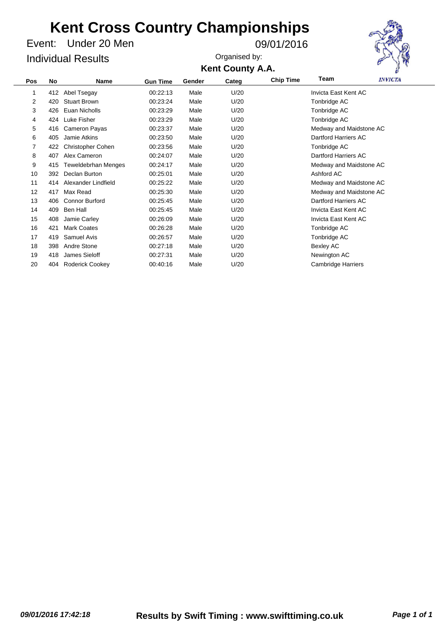Under 20 Men Event: 09/01/2016 Individual Results

Organised by:



**Kent County A.A.**

| <b>No</b> | <b>Name</b>                | <b>Gun Time</b> | Gender | Categ | <b>Chip Time</b> | Team                      | <b>INVICTA</b> |
|-----------|----------------------------|-----------------|--------|-------|------------------|---------------------------|----------------|
| 412       | Abel Tsegay                | 00:22:13        | Male   | U/20  |                  | Invicta East Kent AC      |                |
| 420       | <b>Stuart Brown</b>        | 00:23:24        | Male   | U/20  |                  | Tonbridge AC              |                |
| 426       | Euan Nicholls              | 00:23:29        | Male   | U/20  |                  | Tonbridge AC              |                |
| 424       | Luke Fisher                | 00:23:29        | Male   | U/20  |                  | Tonbridge AC              |                |
| 416       | Cameron Payas              | 00:23:37        | Male   | U/20  |                  | Medway and Maidstone AC   |                |
| 405       | Jamie Atkins               | 00:23:50        | Male   | U/20  |                  | Dartford Harriers AC      |                |
| 422       | <b>Christopher Cohen</b>   | 00:23:56        | Male   | U/20  |                  | Tonbridge AC              |                |
| 407       | Alex Cameron               | 00:24:07        | Male   | U/20  |                  | Dartford Harriers AC      |                |
| 415       | <b>Teweldebrhan Menges</b> | 00:24:17        | Male   | U/20  |                  | Medway and Maidstone AC   |                |
| 392       | Declan Burton              | 00:25:01        | Male   | U/20  |                  | Ashford AC                |                |
| 414       | Alexander Lindfield        | 00:25:22        | Male   | U/20  |                  | Medway and Maidstone AC   |                |
| 417       | Max Read                   | 00:25:30        | Male   | U/20  |                  | Medway and Maidstone AC   |                |
| 406       | <b>Connor Burford</b>      | 00:25:45        | Male   | U/20  |                  | Dartford Harriers AC      |                |
| 409       | Ben Hall                   | 00:25:45        | Male   | U/20  |                  | Invicta East Kent AC      |                |
| 408       | Jamie Carley               | 00:26:09        | Male   | U/20  |                  | Invicta East Kent AC      |                |
| 421       | <b>Mark Coates</b>         | 00:26:28        | Male   | U/20  |                  | Tonbridge AC              |                |
| 419       | Samuel Avis                | 00:26:57        | Male   | U/20  |                  | Tonbridge AC              |                |
| 398       | Andre Stone                | 00:27:18        | Male   | U/20  |                  | Bexley AC                 |                |
| 418       | James Sieloff              | 00:27:31        | Male   | U/20  |                  | Newington AC              |                |
| 404       | Roderick Cookey            | 00:40:16        | Male   | U/20  |                  | <b>Cambridge Harriers</b> |                |
|           |                            |                 |        |       |                  |                           |                |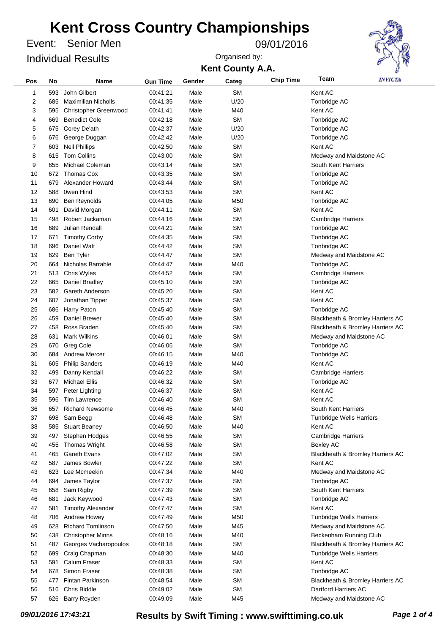Senior Men Event: 09/01/2016 Individual Results

**Kent County A.A.** Organised by:



| Pos | No  | Name                       | <b>Gun Time</b> | Gender | Categ           | <b>Chip Time</b> | Team                            | <i><b>INVICTA</b></i>            |
|-----|-----|----------------------------|-----------------|--------|-----------------|------------------|---------------------------------|----------------------------------|
| 1   | 593 | John Gilbert               | 00:41:21        | Male   | <b>SM</b>       |                  | Kent AC                         |                                  |
| 2   | 685 | <b>Maximilian Nicholls</b> | 00:41:35        | Male   | U/20            |                  | Tonbridge AC                    |                                  |
| 3   | 595 | Christopher Greenwood      | 00:41:41        | Male   | M40             |                  | Kent AC                         |                                  |
| 4   | 669 | <b>Benedict Cole</b>       | 00:42:18        | Male   | <b>SM</b>       |                  | Tonbridge AC                    |                                  |
| 5   | 675 | Corey De'ath               | 00:42:37        | Male   | U/20            |                  | Tonbridge AC                    |                                  |
| 6   | 676 | George Duggan              | 00:42:42        | Male   | U/20            |                  | Tonbridge AC                    |                                  |
| 7   | 603 | <b>Neil Phillips</b>       | 00:42:50        | Male   | <b>SM</b>       |                  | Kent AC                         |                                  |
| 8   | 615 | <b>Tom Collins</b>         | 00:43:00        | Male   | <b>SM</b>       |                  | Medway and Maidstone AC         |                                  |
| 9   | 655 | Michael Coleman            | 00:43:14        | Male   | <b>SM</b>       |                  | South Kent Harriers             |                                  |
| 10  | 672 | <b>Thomas Cox</b>          | 00:43:35        | Male   | <b>SM</b>       |                  | Tonbridge AC                    |                                  |
| 11  | 679 | Alexander Howard           | 00:43:44        | Male   | <b>SM</b>       |                  | Tonbridge AC                    |                                  |
| 12  | 588 | Owen Hind                  | 00:43:53        | Male   | <b>SM</b>       |                  | Kent AC                         |                                  |
| 13  | 690 | Ben Reynolds               | 00:44:05        | Male   | M <sub>50</sub> |                  | Tonbridge AC                    |                                  |
| 14  | 601 | David Morgan               | 00:44:11        | Male   | <b>SM</b>       |                  | Kent AC                         |                                  |
| 15  | 498 | Robert Jackaman            | 00:44:16        | Male   | <b>SM</b>       |                  | <b>Cambridge Harriers</b>       |                                  |
| 16  | 689 | Julian Rendall             | 00:44:21        | Male   | <b>SM</b>       |                  | Tonbridge AC                    |                                  |
| 17  | 671 | <b>Timothy Corby</b>       | 00:44:35        | Male   | <b>SM</b>       |                  | Tonbridge AC                    |                                  |
| 18  | 696 | Daniel Watt                | 00:44:42        | Male   | <b>SM</b>       |                  | Tonbridge AC                    |                                  |
| 19  | 629 | <b>Ben Tyler</b>           | 00:44:47        | Male   | <b>SM</b>       |                  | Medway and Maidstone AC         |                                  |
| 20  | 664 | Nicholas Barrable          | 00:44:47        | Male   | M40             |                  | Tonbridge AC                    |                                  |
| 21  | 513 | <b>Chris Wyles</b>         | 00:44:52        | Male   | <b>SM</b>       |                  | <b>Cambridge Harriers</b>       |                                  |
| 22  | 665 | Daniel Bradley             | 00:45:10        | Male   | <b>SM</b>       |                  | Tonbridge AC                    |                                  |
| 23  | 582 | Gareth Anderson            | 00:45:20        | Male   | <b>SM</b>       |                  | Kent AC                         |                                  |
| 24  | 607 | Jonathan Tipper            | 00:45:37        | Male   | <b>SM</b>       |                  | Kent AC                         |                                  |
| 25  | 686 | Harry Paton                | 00:45:40        | Male   | <b>SM</b>       |                  | Tonbridge AC                    |                                  |
| 26  | 459 | Daniel Brewer              | 00:45:40        | Male   | <b>SM</b>       |                  |                                 | Blackheath & Bromley Harriers AC |
| 27  | 458 | Ross Braden                | 00:45:40        | Male   | <b>SM</b>       |                  |                                 | Blackheath & Bromley Harriers AC |
| 28  | 631 | <b>Mark Wilkins</b>        | 00:46:01        | Male   | <b>SM</b>       |                  | Medway and Maidstone AC         |                                  |
| 29  | 670 | Greg Cole                  | 00:46:06        | Male   | <b>SM</b>       |                  | Tonbridge AC                    |                                  |
| 30  | 684 | <b>Andrew Mercer</b>       | 00:46:15        | Male   | M40             |                  | Tonbridge AC                    |                                  |
| 31  | 605 | <b>Philip Sanders</b>      | 00:46:19        | Male   | M40             |                  | Kent AC                         |                                  |
| 32  | 499 | Danny Kendall              | 00:46:22        | Male   | <b>SM</b>       |                  | <b>Cambridge Harriers</b>       |                                  |
| 33  | 677 | <b>Michael Ellis</b>       | 00:46:32        | Male   | <b>SM</b>       |                  | Tonbridge AC                    |                                  |
| 34  | 597 | Peter Lighting             | 00:46:37        | Male   | <b>SM</b>       |                  | Kent AC                         |                                  |
| 35  | 596 | <b>Tim Lawrence</b>        | 00:46:40        | Male   | SΜ              |                  | Kent AC                         |                                  |
| 36  | 657 | <b>Richard Newsome</b>     | 00:46:45        | Male   | M40             |                  | South Kent Harriers             |                                  |
| 37  | 698 | Sam Begg                   | 00:46:48        | Male   | <b>SM</b>       |                  | <b>Tunbridge Wells Harriers</b> |                                  |
| 38  | 585 | <b>Stuart Beaney</b>       | 00:46:50        | Male   | M40             |                  | Kent AC                         |                                  |
| 39  | 497 | Stephen Hodges             | 00:46:55        | Male   | <b>SM</b>       |                  | <b>Cambridge Harriers</b>       |                                  |
| 40  | 455 | Thomas Wright              | 00:46:58        | Male   | <b>SM</b>       |                  | <b>Bexley AC</b>                |                                  |
| 41  | 465 | Gareth Evans               | 00:47:02        | Male   | <b>SM</b>       |                  |                                 | Blackheath & Bromley Harriers AC |
| 42  | 587 | James Bowler               | 00:47:22        | Male   | <b>SM</b>       |                  | Kent AC                         |                                  |
| 43  | 623 | Lee Mcmeekin               | 00:47:34        | Male   | M40             |                  | Medway and Maidstone AC         |                                  |
| 44  | 694 | James Taylor               | 00:47:37        | Male   | <b>SM</b>       |                  | Tonbridge AC                    |                                  |
| 45  | 658 | Sam Rigby                  | 00:47:39        | Male   | <b>SM</b>       |                  | South Kent Harriers             |                                  |
| 46  | 681 | Jack Keywood               | 00:47:43        | Male   | <b>SM</b>       |                  | Tonbridge AC                    |                                  |
| 47  | 581 | <b>Timothy Alexander</b>   | 00:47:47        | Male   | <b>SM</b>       |                  | Kent AC                         |                                  |
| 48  | 706 | <b>Andrew Howey</b>        | 00:47:49        | Male   | M50             |                  | <b>Tunbridge Wells Harriers</b> |                                  |
| 49  | 628 | <b>Richard Tomlinson</b>   | 00:47:50        | Male   | M45             |                  | Medway and Maidstone AC         |                                  |
| 50  | 438 | <b>Christopher Minns</b>   | 00:48:16        | Male   | M40             |                  | Beckenham Running Club          |                                  |
| 51  | 487 | Georges Vacharopoulos      | 00:48:18        | Male   | <b>SM</b>       |                  |                                 | Blackheath & Bromley Harriers AC |
| 52  | 699 | Craig Chapman              | 00:48:30        | Male   | M40             |                  | Tunbridge Wells Harriers        |                                  |
| 53  | 591 | Calum Fraser               | 00:48:33        | Male   | <b>SM</b>       |                  | Kent AC                         |                                  |
| 54  | 678 | Simon Fraser               | 00:48:38        | Male   | <b>SM</b>       |                  | Tonbridge AC                    |                                  |
| 55  | 477 | <b>Fintan Parkinson</b>    | 00:48:54        | Male   | <b>SM</b>       |                  |                                 | Blackheath & Bromley Harriers AC |
| 56  | 516 | Chris Biddle               | 00:49:02        | Male   | <b>SM</b>       |                  | Dartford Harriers AC            |                                  |
| 57  |     | 626 Barry Royden           | 00:49:09        | Male   | M45             |                  | Medway and Maidstone AC         |                                  |

*09/01/2016 17:43:21* **Results by Swift Timing : www.swifttiming.co.uk** *Page 1 of 4*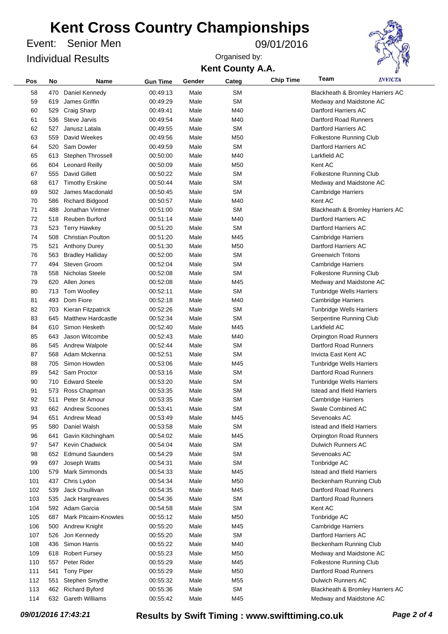Senior Men Event: 09/01/2016 Individual Results

**Kent County A.A.** Organised by:



| Pos | No  | <b>Name</b>                  | <b>Gun Time</b> | Gender | Categ           | <b>Chip Time</b> | Team                              | <i><b>INVICTA</b></i>            |
|-----|-----|------------------------------|-----------------|--------|-----------------|------------------|-----------------------------------|----------------------------------|
| 58  | 470 | Daniel Kennedy               | 00:49:13        | Male   | <b>SM</b>       |                  |                                   | Blackheath & Bromley Harriers AC |
| 59  | 619 | James Griffin                | 00:49:29        | Male   | <b>SM</b>       |                  | Medway and Maidstone AC           |                                  |
| 60  | 529 | Craig Sharp                  | 00:49:41        | Male   | M40             |                  | Dartford Harriers AC              |                                  |
| 61  | 536 | Steve Jarvis                 | 00:49:54        | Male   | M40             |                  | <b>Dartford Road Runners</b>      |                                  |
| 62  | 527 | Janusz Latala                | 00:49:55        | Male   | <b>SM</b>       |                  | Dartford Harriers AC              |                                  |
| 63  | 559 | David Weekes                 | 00:49:56        | Male   | M50             |                  | Folkestone Running Club           |                                  |
| 64  | 520 | Sam Dowler                   | 00:49:59        | Male   | <b>SM</b>       |                  | Dartford Harriers AC              |                                  |
| 65  | 613 | <b>Stephen Throssell</b>     | 00:50:00        | Male   | M40             |                  | Larkfield AC                      |                                  |
| 66  | 604 | <b>Leonard Reilly</b>        | 00:50:09        | Male   | M50             |                  | Kent AC                           |                                  |
| 67  | 555 | David Gillett                | 00:50:22        | Male   | <b>SM</b>       |                  | Folkestone Running Club           |                                  |
| 68  |     | <b>Timothy Erskine</b>       | 00:50:44        | Male   | <b>SM</b>       |                  |                                   |                                  |
| 69  | 617 | James Macdonald              | 00:50:45        | Male   | <b>SM</b>       |                  | Medway and Maidstone AC           |                                  |
|     | 502 |                              |                 |        |                 |                  | <b>Cambridge Harriers</b>         |                                  |
| 70  | 586 | <b>Richard Bidgood</b>       | 00:50:57        | Male   | M40             |                  | Kent AC                           |                                  |
| 71  | 488 | Jonathan Vintner             | 00:51:00        | Male   | <b>SM</b>       |                  |                                   | Blackheath & Bromley Harriers AC |
| 72  | 518 | Reuben Burford               | 00:51:14        | Male   | M40             |                  | Dartford Harriers AC              |                                  |
| 73  | 523 | <b>Terry Hawkey</b>          | 00:51:20        | Male   | <b>SM</b>       |                  | Dartford Harriers AC              |                                  |
| 74  | 508 | <b>Christian Poulton</b>     | 00:51:20        | Male   | M45             |                  | <b>Cambridge Harriers</b>         |                                  |
| 75  | 521 | <b>Anthony Durey</b>         | 00:51:30        | Male   | M50             |                  | Dartford Harriers AC              |                                  |
| 76  | 563 | <b>Bradley Halliday</b>      | 00:52:00        | Male   | <b>SM</b>       |                  | <b>Greenwich Tritons</b>          |                                  |
| 77  | 494 | Steven Groom                 | 00:52:04        | Male   | <b>SM</b>       |                  | <b>Cambridge Harriers</b>         |                                  |
| 78  | 558 | Nicholas Steele              | 00:52:08        | Male   | <b>SM</b>       |                  | Folkestone Running Club           |                                  |
| 79  | 620 | Allen Jones                  | 00:52:08        | Male   | M45             |                  | Medway and Maidstone AC           |                                  |
| 80  | 713 | Tom Woolley                  | 00:52:11        | Male   | <b>SM</b>       |                  | <b>Tunbridge Wells Harriers</b>   |                                  |
| 81  | 493 | Dom Fiore                    | 00:52:18        | Male   | M40             |                  | <b>Cambridge Harriers</b>         |                                  |
| 82  | 703 | Kieran Fitzpatrick           | 00:52:26        | Male   | <b>SM</b>       |                  | <b>Tunbridge Wells Harriers</b>   |                                  |
| 83  | 645 | <b>Matthew Hardcastle</b>    | 00:52:34        | Male   | <b>SM</b>       |                  | Serpentine Running Club           |                                  |
| 84  | 610 | Simon Hesketh                | 00:52:40        | Male   | M45             |                  | Larkfield AC                      |                                  |
| 85  | 643 | Jason Witcombe               | 00:52:43        | Male   | M40             |                  | <b>Orpington Road Runners</b>     |                                  |
| 86  | 545 | <b>Andrew Walpole</b>        | 00:52:44        | Male   | <b>SM</b>       |                  | Dartford Road Runners             |                                  |
| 87  | 568 | Adam Mckenna                 | 00:52:51        | Male   | <b>SM</b>       |                  | Invicta East Kent AC              |                                  |
| 88  | 705 | Simon Howden                 | 00:53:06        | Male   | M45             |                  | <b>Tunbridge Wells Harriers</b>   |                                  |
| 89  | 542 | Sam Proctor                  | 00:53:16        | Male   | <b>SM</b>       |                  | Dartford Road Runners             |                                  |
| 90  | 710 | <b>Edward Steele</b>         | 00:53:20        | Male   | <b>SM</b>       |                  | <b>Tunbridge Wells Harriers</b>   |                                  |
| 91  | 573 | Ross Chapman                 | 00:53:35        | Male   | <b>SM</b>       |                  | Istead and Ifield Harriers        |                                  |
| 92  | 511 | Peter St Amour               | 00:53:35        | Male   | <b>SM</b>       |                  | <b>Cambridge Harriers</b>         |                                  |
| 93  |     | 662 Andrew Scoones           | 00:53:41        | Male   | <b>SM</b>       |                  | Swale Combined AC                 |                                  |
| 94  | 651 | <b>Andrew Mead</b>           | 00:53:49        | Male   | M45             |                  | Sevenoaks AC                      |                                  |
| 95  | 580 | Daniel Walsh                 | 00:53:58        | Male   | <b>SM</b>       |                  | <b>Istead and Ifield Harriers</b> |                                  |
| 96  | 641 | Gavin Kitchingham            | 00:54:02        | Male   | M45             |                  | <b>Orpington Road Runners</b>     |                                  |
| 97  | 547 | <b>Kevin Chadwick</b>        | 00:54:04        | Male   | <b>SM</b>       |                  | <b>Dulwich Runners AC</b>         |                                  |
| 98  | 652 | <b>Edmund Saunders</b>       | 00:54:29        | Male   | <b>SM</b>       |                  | Sevenoaks AC                      |                                  |
| 99  | 697 | Joseph Watts                 | 00:54:31        | Male   | <b>SM</b>       |                  | Tonbridge AC                      |                                  |
| 100 | 579 | <b>Mark Simmonds</b>         | 00:54:33        | Male   | M45             |                  | <b>Istead and Ifield Harriers</b> |                                  |
| 101 | 437 | Chris Lydon                  | 00:54:34        | Male   | M50             |                  | Beckenham Running Club            |                                  |
| 102 | 539 | Jack O'sullivan              | 00:54:35        | Male   | M45             |                  | <b>Dartford Road Runners</b>      |                                  |
| 103 | 535 | Jack Hargreaves              | 00:54:36        | Male   | <b>SM</b>       |                  | Dartford Road Runners             |                                  |
| 104 |     | 592 Adam Garcia              | 00:54:58        | Male   | <b>SM</b>       |                  | Kent AC                           |                                  |
| 105 | 687 | <b>Mark Pitcairn-Knowles</b> | 00:55:12        | Male   | M50             |                  | Tonbridge AC                      |                                  |
| 106 | 500 | <b>Andrew Knight</b>         | 00:55:20        | Male   | M45             |                  | <b>Cambridge Harriers</b>         |                                  |
| 107 |     | Jon Kennedy                  | 00:55:20        | Male   | <b>SM</b>       |                  | Dartford Harriers AC              |                                  |
|     | 526 |                              |                 |        |                 |                  |                                   |                                  |
| 108 | 436 | Simon Harris                 | 00:55:22        | Male   | M40             |                  | Beckenham Running Club            |                                  |
| 109 | 618 | <b>Robert Fursey</b>         | 00:55:23        | Male   | M50             |                  | Medway and Maidstone AC           |                                  |
| 110 | 557 | Peter Rider                  | 00:55:29        | Male   | M45             |                  | Folkestone Running Club           |                                  |
| 111 | 541 | <b>Tony Piper</b>            | 00:55:29        | Male   | M50             |                  | <b>Dartford Road Runners</b>      |                                  |
| 112 | 551 | Stephen Smythe               | 00:55:32        | Male   | M <sub>55</sub> |                  | <b>Dulwich Runners AC</b>         |                                  |
| 113 | 462 | <b>Richard Byford</b>        | 00:55:36        | Male   | <b>SM</b>       |                  |                                   | Blackheath & Bromley Harriers AC |
| 114 |     | 632 Gareth Williams          | 00:55:42        | Male   | M45             |                  | Medway and Maidstone AC           |                                  |

*09/01/2016 17:43:21* **Results by Swift Timing : www.swifttiming.co.uk** *Page 2 of 4*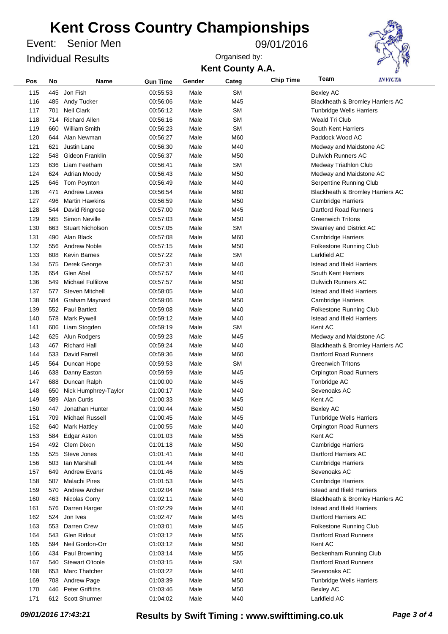Senior Men Event: 09/01/2016 Individual Results

**Kent County A.A.** Organised by:



| Pos | No  | <b>Name</b>              | <b>Gun Time</b> | Gender | Categ     | <b>Chip Time</b> | Team                              | <i><b>INVICTA</b></i>            |
|-----|-----|--------------------------|-----------------|--------|-----------|------------------|-----------------------------------|----------------------------------|
| 115 | 445 | Jon Fish                 | 00:55:53        | Male   | <b>SM</b> |                  | <b>Bexley AC</b>                  |                                  |
| 116 | 485 | Andy Tucker              | 00:56:06        | Male   | M45       |                  |                                   | Blackheath & Bromley Harriers AC |
| 117 | 701 | <b>Neil Clark</b>        | 00:56:12        | Male   | <b>SM</b> |                  | <b>Tunbridge Wells Harriers</b>   |                                  |
| 118 | 714 | <b>Richard Allen</b>     | 00:56:16        | Male   | <b>SM</b> |                  | <b>Weald Tri Club</b>             |                                  |
| 119 | 660 | <b>William Smith</b>     | 00:56:23        | Male   | <b>SM</b> |                  | South Kent Harriers               |                                  |
| 120 | 644 | Alan Newman              | 00:56:27        | Male   | M60       |                  | Paddock Wood AC                   |                                  |
| 121 | 621 | Justin Lane              | 00:56:30        | Male   | M40       |                  | Medway and Maidstone AC           |                                  |
| 122 | 548 | Gideon Franklin          | 00:56:37        | Male   | M50       |                  | <b>Dulwich Runners AC</b>         |                                  |
| 123 | 636 | Liam Feetham             | 00:56:41        | Male   | <b>SM</b> |                  | Medway Triathlon Club             |                                  |
| 124 | 624 | Adrian Moody             | 00:56:43        | Male   | M50       |                  | Medway and Maidstone AC           |                                  |
| 125 | 646 | <b>Tom Poynton</b>       | 00:56:49        | Male   | M40       |                  | Serpentine Running Club           |                                  |
| 126 | 471 | <b>Andrew Lawes</b>      | 00:56:54        | Male   | M60       |                  |                                   | Blackheath & Bromley Harriers AC |
| 127 | 496 | <b>Martin Hawkins</b>    | 00:56:59        | Male   | M50       |                  | <b>Cambridge Harriers</b>         |                                  |
| 128 | 544 | David Ringrose           | 00:57:00        | Male   | M45       |                  | Dartford Road Runners             |                                  |
| 129 | 565 | Simon Neville            | 00:57:03        | Male   | M50       |                  | <b>Greenwich Tritons</b>          |                                  |
| 130 | 663 | <b>Stuart Nicholson</b>  | 00:57:05        | Male   | <b>SM</b> |                  | Swanley and District AC           |                                  |
| 131 | 490 | Alan Black               | 00:57:08        | Male   | M60       |                  | <b>Cambridge Harriers</b>         |                                  |
| 132 | 556 | <b>Andrew Noble</b>      | 00:57:15        | Male   | M50       |                  | Folkestone Running Club           |                                  |
| 133 | 608 | <b>Kevin Barnes</b>      | 00:57:22        | Male   | <b>SM</b> |                  | Larkfield AC                      |                                  |
| 134 | 575 | Derek George             | 00:57:31        | Male   | M40       |                  | <b>Istead and Ifield Harriers</b> |                                  |
| 135 | 654 | Glen Abel                | 00:57:57        | Male   | M40       |                  | South Kent Harriers               |                                  |
| 136 | 549 | <b>Michael Fullilove</b> | 00:57:57        | Male   | M50       |                  | <b>Dulwich Runners AC</b>         |                                  |
| 137 | 577 | <b>Steven Mitchell</b>   | 00:58:05        | Male   | M40       |                  | <b>Istead and Ifield Harriers</b> |                                  |
| 138 | 504 | Graham Maynard           | 00:59:06        | Male   | M50       |                  | <b>Cambridge Harriers</b>         |                                  |
| 139 | 552 | <b>Paul Bartlett</b>     | 00:59:08        | Male   | M40       |                  | Folkestone Running Club           |                                  |
| 140 | 578 | <b>Mark Pywell</b>       | 00:59:12        | Male   | M40       |                  | <b>Istead and Ifield Harriers</b> |                                  |
| 141 | 606 | Liam Stogden             | 00:59:19        | Male   | SM        |                  | Kent AC                           |                                  |
| 142 | 625 | Alun Rodgers             | 00:59:23        | Male   | M45       |                  | Medway and Maidstone AC           |                                  |
| 143 | 467 | <b>Richard Hall</b>      | 00:59:24        | Male   | M40       |                  |                                   | Blackheath & Bromley Harriers AC |
| 144 | 533 | David Farrell            | 00:59:36        | Male   | M60       |                  | Dartford Road Runners             |                                  |
| 145 | 564 | Duncan Hope              | 00:59:53        | Male   | SM        |                  | <b>Greenwich Tritons</b>          |                                  |
| 146 | 638 | Danny Easton             | 00:59:59        | Male   | M45       |                  | <b>Orpington Road Runners</b>     |                                  |
| 147 | 688 | Duncan Ralph             | 01:00:00        | Male   | M45       |                  | Tonbridge AC                      |                                  |
| 148 | 650 | Nick Humphrey-Taylor     | 01:00:17        | Male   | M40       |                  | Sevenoaks AC                      |                                  |
| 149 | 589 | <b>Alan Curtis</b>       | 01:00:33        | Male   | M45       |                  | Kent AC                           |                                  |
| 150 | 447 | Jonathan Hunter          | 01:00:44        | Male   | M50       |                  | <b>Bexley AC</b>                  |                                  |
| 151 | 709 | Michael Russell          | 01:00:45        | Male   | M45       |                  | <b>Tunbridge Wells Harriers</b>   |                                  |
| 152 | 640 | <b>Mark Hattley</b>      | 01:00:55        | Male   | M40       |                  | <b>Orpington Road Runners</b>     |                                  |
| 153 | 584 | <b>Edgar Aston</b>       | 01:01:03        | Male   | M55       |                  | Kent AC                           |                                  |
| 154 |     | 492 Clem Dixon           | 01:01:18        | Male   | M50       |                  | <b>Cambridge Harriers</b>         |                                  |
| 155 | 525 | Steve Jones              | 01:01:41        | Male   | M40       |                  | Dartford Harriers AC              |                                  |
| 156 |     | 503 Ian Marshall         | 01:01:44        | Male   | M65       |                  | <b>Cambridge Harriers</b>         |                                  |
| 157 |     | 649 Andrew Evans         | 01:01:46        | Male   | M45       |                  | Sevenoaks AC                      |                                  |
| 158 | 507 | Malachi Pires            | 01:01:53        | Male   | M45       |                  | <b>Cambridge Harriers</b>         |                                  |
| 159 | 570 | Andrew Archer            | 01:02:04        | Male   | M45       |                  | <b>Istead and Ifield Harriers</b> |                                  |
| 160 | 463 | Nicolas Corry            | 01:02:11        | Male   | M40       |                  |                                   | Blackheath & Bromley Harriers AC |
| 161 | 576 | Darren Harger            | 01:02:29        | Male   | M40       |                  | <b>Istead and Ifield Harriers</b> |                                  |
| 162 | 524 | Jon Ives                 | 01:02:47        | Male   | M45       |                  | Dartford Harriers AC              |                                  |
| 163 |     | 553 Darren Crew          | 01:03:01        | Male   | M45       |                  | <b>Folkestone Running Club</b>    |                                  |
| 164 | 543 | Glen Ridout              | 01:03:12        | Male   | M55       |                  | Dartford Road Runners             |                                  |
| 165 | 594 | Neil Gordon-Orr          | 01:03:12        | Male   | M50       |                  | Kent AC                           |                                  |
| 166 | 434 | Paul Browning            | 01:03:14        | Male   | M55       |                  | Beckenham Running Club            |                                  |
| 167 | 540 | Stewart O'toole          | 01:03:15        | Male   | <b>SM</b> |                  | Dartford Road Runners             |                                  |
| 168 | 653 | Marc Thatcher            | 01:03:22        | Male   | M40       |                  | Sevenoaks AC                      |                                  |
| 169 |     | 708 Andrew Page          | 01:03:39        | Male   | M50       |                  | <b>Tunbridge Wells Harriers</b>   |                                  |
| 170 | 446 | <b>Peter Griffiths</b>   | 01:03:46        | Male   | M50       |                  | <b>Bexley AC</b>                  |                                  |
| 171 |     | 612 Scott Shurmer        | 01:04:02        | Male   | M40       |                  | Larkfield AC                      |                                  |

*09/01/2016 17:43:21* **Results by Swift Timing : www.swifttiming.co.uk** *Page 3 of 4*